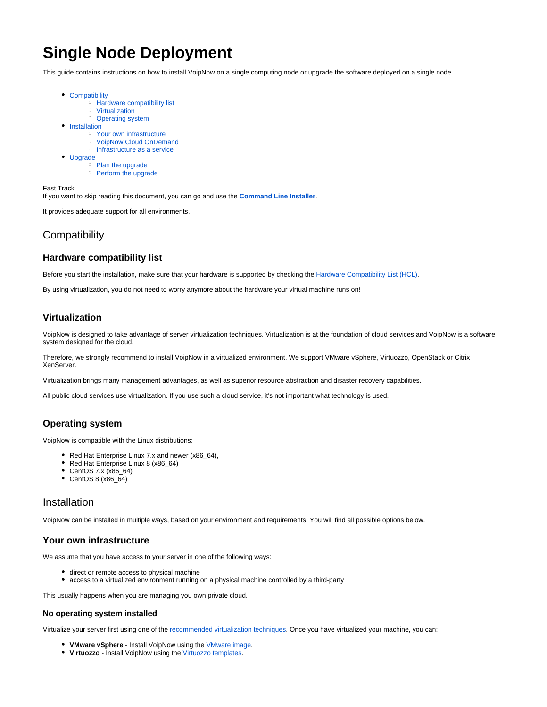# **Single Node Deployment**

This guide contains instructions on how to install VoipNow on a single computing node or upgrade the software deployed on a single node.

- [Compatibility](#page-0-0)
	- <sup>o</sup> [Hardware compatibility list](#page-0-1)
	- [Virtualization](#page-0-2)
	- <sup>o</sup> [Operating system](#page-0-3)
- **[Installation](#page-0-4)** 
	- <sup>o</sup> [Your own infrastructure](#page-0-5)
	- <sup>o</sup> [VoipNow Cloud OnDemand](#page-1-0) o [Infrastructure as a service](#page-1-1)
- [Upgrade](#page-1-2)
	- <sup>o</sup> [Plan the upgrade](#page-1-3)
		- <sup>o</sup> [Perform the upgrade](#page-1-4)

Fast Track

If you want to skip reading this document, you can go and use the **[Command Line Installer](https://wiki.4psa.com/display/VNDOCS30/Command+Line+Installer)**.

It provides adequate support for all environments.

# <span id="page-0-0"></span>**Compatibility**

# <span id="page-0-1"></span>**Hardware compatibility list**

Before you start the installation, make sure that your hardware is supported by checking the [Hardware Compatibility List \(HCL\)](https://wiki.4psa.com/pages/viewpage.action?pageId=48731090).

By using virtualization, you do not need to worry anymore about the hardware your virtual machine runs on!

# <span id="page-0-6"></span><span id="page-0-2"></span>**Virtualization**

VoipNow is designed to take advantage of server virtualization techniques. Virtualization is at the foundation of cloud services and VoipNow is a software system designed for the cloud.

Therefore, we strongly recommend to install VoipNow in a virtualized environment. We support VMware vSphere, Virtuozzo, OpenStack or Citrix XenServer.

Virtualization brings many management advantages, as well as superior resource abstraction and disaster recovery capabilities.

All public cloud services use virtualization. If you use such a cloud service, it's not important what technology is used.

# <span id="page-0-3"></span>**Operating system**

VoipNow is compatible with the Linux distributions:

- Red Hat Enterprise Linux 7.x and newer (x86\_64),
- Red Hat Enterprise Linux 8 (x86\_64)
- CentOS 7.x (x86\_64)
- CentOS 8 (x86\_64)

# <span id="page-0-4"></span>Installation

VoipNow can be installed in multiple ways, based on your environment and requirements. You will find all possible options below.

# <span id="page-0-5"></span>**Your own infrastructure**

We assume that you have access to your server in one of the following ways:

- $\bullet$  direct or remote access to physical machine
- access to a virtualized environment running on a physical machine controlled by a third-party

This usually happens when you are managing you own private cloud.

### **No operating system installed**

Virtualize your server first using one of the [recommended virtualization techniques](#page-0-6). Once you have virtualized your machine, you can:

- **VMware vSphere** Install VoipNow using the [VMware image](https://wiki.4psa.com/display/VNDOCS30/VMware+Installation).
- **Virtuozzo** Install VoipNow using the [Virtuozzo templates.](https://wiki.4psa.com/display/VNDOCS30/Virtuozzo+Templates+Installation)